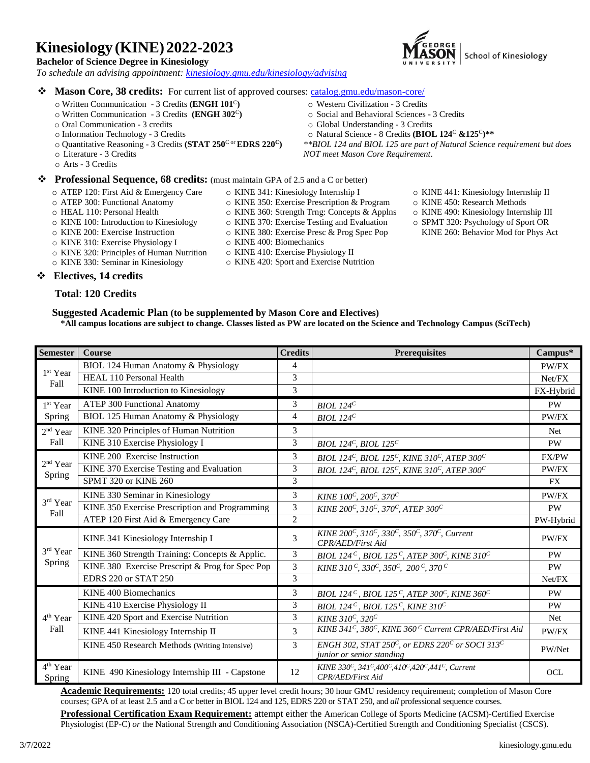# **Kinesiology (KINE) 2022-2023**

### **Bachelor of Science Degree in Kinesiology**

 *To schedule an advising appointment: [kinesiology.gmu.edu/kinesiology/advising](https://kinesiology.gmu.edu/kinesiology/advising)*



## ❖ **Mason Core, 38 credits:** For current list of approved courses: [catalog.gmu.edu/mason-core/](http://catalog.gmu.edu/mason-core/)

- o Written Communication 3 Credits **(ENGH 101**<sup>C</sup>**)**
- o Written Communication 3 Credits **(ENGH 302**<sup>C</sup>**)** o Oral Communication - 3 credits
- o Information Technology 3 Credits
- o Quantitative Reasoning 3 Credits **(STAT 250**<sup>C</sup> or **EDRS 220<sup>C</sup>)**
- o Literature 3 Credits
- o Arts 3 Credits

### ❖ **Professional Sequence, 68 credits:** (must maintain GPA of 2.5 and a C or better)

- o ATEP 120: First Aid & Emergency Care
- o ATEP 300: Functional Anatomy
- o HEAL 110: Personal Health
- o KINE 100: Introduction to Kinesiology

o KINE 320: Principles of Human Nutrition o KINE 330: Seminar in Kinesiology

- o KINE 200: Exercise Instruction
- o KINE 310: Exercise Physiology I
- o KINE 400: Biomechanics o KINE 410: Exercise Physiology II
- o KINE 420: Sport and Exercise Nutrition

o KINE 341: Kinesiology Internship I o KINE 350: Exercise Prescription & Program o KINE 360: Strength Trng: Concepts & Applns o KINE 370: Exercise Testing and Evaluation o KINE 380: Exercise Presc & Prog Spec Pop

- 
- o KINE 441: Kinesiology Internship II
- o KINE 450: Research Methods
- o KINE 490: Kinesiology Internship III
- o SPMT 320: Psychology of Sport OR KINE 260: Behavior Mod for Phys Act

❖ **Electives, 14 credits**

## **Total**: **120 Credits**

#### **Suggested Academic Plan (to be supplemented by Mason Core and Electives)**

**\*All campus locations are subject to change. Classes listed as PW are located on the Science and Technology Campus (SciTech)**

| <b>Semester</b>                       | <b>Course</b>                                   | <b>Credits</b> | <b>Prerequisites</b>                                                                                                                    | Campus*   |
|---------------------------------------|-------------------------------------------------|----------------|-----------------------------------------------------------------------------------------------------------------------------------------|-----------|
| 1 <sup>st</sup> Year<br>Fall          | BIOL 124 Human Anatomy & Physiology             | 4              |                                                                                                                                         | PW/FX     |
|                                       | <b>HEAL 110 Personal Health</b>                 | 3              |                                                                                                                                         | Net/FX    |
|                                       | KINE 100 Introduction to Kinesiology            | $\overline{3}$ |                                                                                                                                         | FX-Hybrid |
| 1 <sup>st</sup> Year                  | <b>ATEP 300 Functional Anatomy</b>              | 3              | BIOL 124 $^C$                                                                                                                           | <b>PW</b> |
| Spring                                | BIOL 125 Human Anatomy & Physiology             | 4              | BIOL 124 <sup>C</sup>                                                                                                                   | PW/FX     |
| 2 <sup>nd</sup> Year<br>Fall          | KINE 320 Principles of Human Nutrition          | 3              |                                                                                                                                         | Net       |
|                                       | KINE 310 Exercise Physiology I                  | 3              | BIOL 124 <sup>C</sup> , BIOL 125 <sup>C</sup>                                                                                           | <b>PW</b> |
| $2^{\rm nd}$ Year<br>Spring           | KINE 200 Exercise Instruction                   | 3              | BIOL 124 <sup>C</sup> , BIOL 125 <sup>C</sup> , KINE 310 <sup>C</sup> , ATEP 300 <sup>C</sup>                                           | FX/PW     |
|                                       | KINE 370 Exercise Testing and Evaluation        | 3              | BIOL 124 <sup>C</sup> , BIOL 125 <sup>C</sup> , KINE 310 <sup>C</sup> , ATEP 300 <sup>C</sup>                                           | PW/FX     |
|                                       | SPMT 320 or KINE 260                            | 3              |                                                                                                                                         | FX        |
| 3rd Year<br>Fall                      | KINE 330 Seminar in Kinesiology                 | 3              | KINE 100°, 200°, 370°                                                                                                                   | PW/FX     |
|                                       | KINE 350 Exercise Prescription and Programming  | 3              | KINE 200 <sup>C</sup> , 310 <sup>C</sup> , 370 <sup>C</sup> , ATEP 300 <sup>C</sup>                                                     | <b>PW</b> |
|                                       | ATEP 120 First Aid & Emergency Care             | $\overline{2}$ |                                                                                                                                         | PW-Hybrid |
| $3^{\rm rd}$ Year<br><b>Spring</b>    | KINE 341 Kinesiology Internship I               | 3              | KINE 200 <sup>C</sup> , 310 <sup>C</sup> , 330 <sup>C</sup> , 350 <sup>C</sup> , 370 <sup>C</sup> , Current<br><b>CPR/AED/First Aid</b> | PW/FX     |
|                                       | KINE 360 Strength Training: Concepts & Applic.  | 3              | BIOL 124 <sup>C</sup> , BIOL 125 <sup>C</sup> , ATEP 300 <sup>C</sup> , KINE 310 <sup>C</sup>                                           | <b>PW</b> |
|                                       | KINE 380 Exercise Prescript & Prog for Spec Pop | 3              | KINE 310 <sup>C</sup> , 330 <sup>C</sup> , 350 <sup>C</sup> , 200 <sup>C</sup> , 370 <sup>C</sup>                                       | <b>PW</b> |
|                                       | <b>EDRS 220 or STAT 250</b>                     | 3              |                                                                                                                                         | Net/FX    |
|                                       | <b>KINE 400 Biomechanics</b>                    | 3              | BIOL 124 <sup>C</sup> , BIOL 125 <sup>C</sup> , ATEP 300 <sup>C</sup> , KINE 360 <sup>C</sup>                                           | <b>PW</b> |
|                                       | KINE 410 Exercise Physiology II                 | 3              | BIOL 124 <sup>C</sup> , BIOL 125 <sup>C</sup> , KINE 310 <sup>C</sup>                                                                   | <b>PW</b> |
| 4 <sup>th</sup> Year                  | KINE 420 Sport and Exercise Nutrition           | 3              | KINE 310 <sup>C</sup> , 320 <sup>C</sup>                                                                                                | Net       |
| Fall                                  | KINE 441 Kinesiology Internship II              | 3              | KINE 341 <sup>C</sup> , 380 <sup>C</sup> , KINE 360 <sup>C</sup> Current CPR/AED/First Aid                                              | PW/FX     |
|                                       | KINE 450 Research Methods (Writing Intensive)   | $\mathcal{E}$  | ENGH 302, STAT 250°, or EDRS 220° or SOCI 313°<br>junior or senior standing                                                             | PW/Net    |
| 4 <sup>th</sup> Year<br><b>Spring</b> | KINE 490 Kinesiology Internship III - Capstone  | 12             | KINE 330°, 341°,400°,410°,420°,441°, Current<br>CPR/AED/First Aid                                                                       | OCL       |

**Academic Requirements:** 120 total credits; 45 upper level credit hours; 30 hour GMU residency requirement; completion of Mason Core courses; GPA of at least 2.5 and a C or better in BIOL 124 and 125, EDRS 220 or STAT 250, and *all* professional sequence courses.

**Professional Certification Exam Requirement:** attempt either the American College of Sports Medicine (ACSM)-Certified Exercise Physiologist (EP-C) *or* the National Strength and Conditioning Association (NSCA)-Certified Strength and Conditioning Specialist (CSCS).

o Global Understanding - 3 Credits

o Western Civilization - 3 Credits

o Natural Science - 8 Credits **(BIOL 124**<sup>C</sup> **&125**<sup>C</sup>**)\*\***

o Social and Behavioral Sciences - 3 Credits

*\*\*BIOL 124 and BIOL 125 are part of Natural Science requirement but does NOT meet Mason Core Requirement*.